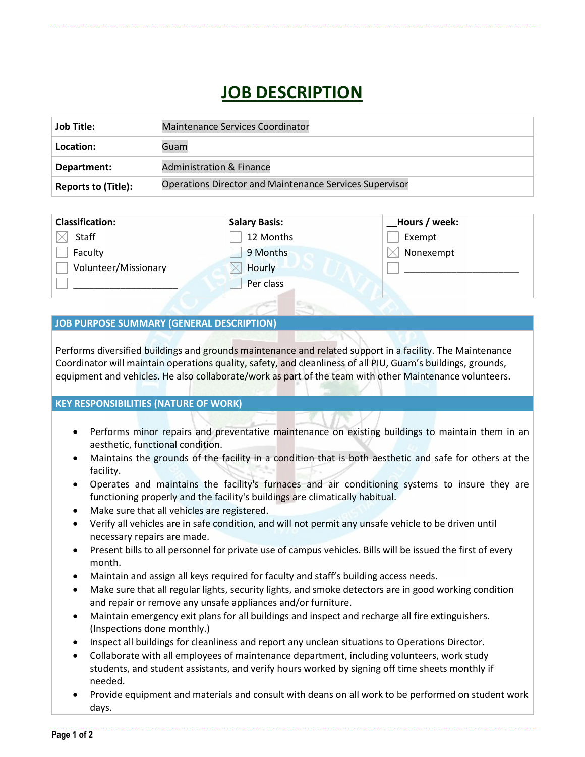## **JOB DESCRIPTION**

| Job Title:                 | <b>Maintenance Services Coordinator</b>                        |
|----------------------------|----------------------------------------------------------------|
| Location:                  | Guam                                                           |
| Department:                | <b>Administration &amp; Finance</b>                            |
| <b>Reports to (Title):</b> | <b>Operations Director and Maintenance Services Supervisor</b> |

| <b>Classification:</b> | <b>Salary Basis:</b> | _Hours / week: |
|------------------------|----------------------|----------------|
| Staff                  | 12 Months            | Exempt         |
| Faculty                | 9 Months             | Nonexempt      |
| Volunteer/Missionary   | Hourly               |                |
|                        | Per class            |                |
|                        |                      |                |

## **JOB PURPOSE SUMMARY (GENERAL DESCRIPTION)**

Performs diversified buildings and grounds maintenance and related support in a facility. The Maintenance Coordinator will maintain operations quality, safety, and cleanliness of all PIU, Guam's buildings, grounds, equipment and vehicles. He also collaborate/work as part of the team with other Maintenance volunteers.

## **KEY RESPONSIBILITIES (NATURE OF WORK)**

- Performs minor repairs and preventative maintenance on existing buildings to maintain them in an aesthetic, functional condition.
- Maintains the grounds of the facility in a condition that is both aesthetic and safe for others at the facility.
- Operates and maintains the facility's furnaces and air conditioning systems to insure they are functioning properly and the facility's buildings are climatically habitual.
- Make sure that all vehicles are registered.
- Verify all vehicles are in safe condition, and will not permit any unsafe vehicle to be driven until necessary repairs are made.
- Present bills to all personnel for private use of campus vehicles. Bills will be issued the first of every month.
- Maintain and assign all keys required for faculty and staff's building access needs.
- Make sure that all regular lights, security lights, and smoke detectors are in good working condition and repair or remove any unsafe appliances and/or furniture.
- Maintain emergency exit plans for all buildings and inspect and recharge all fire extinguishers. (Inspections done monthly.)
- Inspect all buildings for cleanliness and report any unclean situations to Operations Director.
- Collaborate with all employees of maintenance department, including volunteers, work study students, and student assistants, and verify hours worked by signing off time sheets monthly if needed.
- Provide equipment and materials and consult with deans on all work to be performed on student work days.